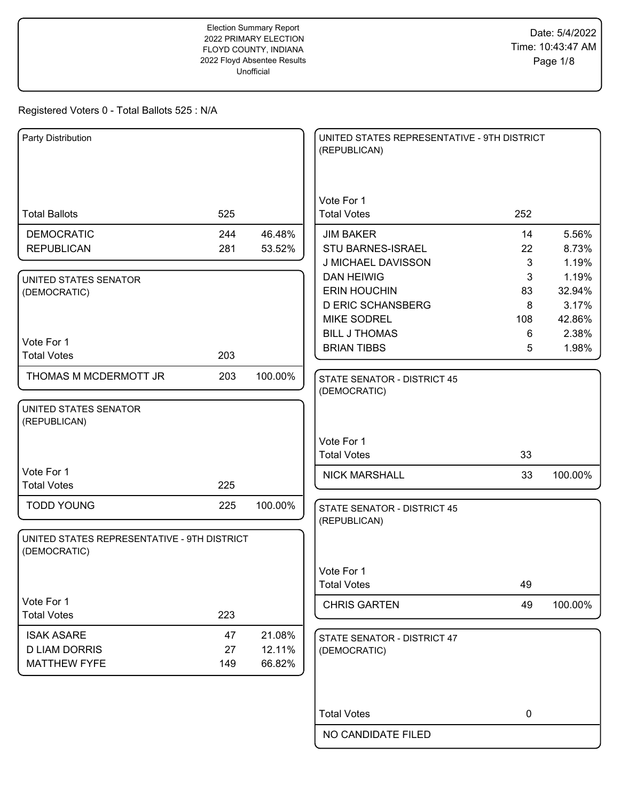| Party Distribution                                          |     |         | UNITED STATES REPRESENTATIVE - 9TH DISTRICT<br>(REPUBLICAN) |             |                |
|-------------------------------------------------------------|-----|---------|-------------------------------------------------------------|-------------|----------------|
|                                                             |     |         |                                                             |             |                |
|                                                             |     |         | Vote For 1                                                  |             |                |
| <b>Total Ballots</b>                                        | 525 |         | <b>Total Votes</b>                                          | 252         |                |
| <b>DEMOCRATIC</b>                                           | 244 | 46.48%  | <b>JIM BAKER</b>                                            | 14          | 5.56%          |
| <b>REPUBLICAN</b>                                           | 281 | 53.52%  | <b>STU BARNES-ISRAEL</b>                                    | 22          | 8.73%          |
|                                                             |     |         | J MICHAEL DAVISSON<br><b>DAN HEIWIG</b>                     | 3<br>3      | 1.19%<br>1.19% |
| UNITED STATES SENATOR<br>(DEMOCRATIC)                       |     |         | <b>ERIN HOUCHIN</b>                                         | 83          | 32.94%         |
|                                                             |     |         | <b>D ERIC SCHANSBERG</b>                                    | 8           | 3.17%          |
|                                                             |     |         | <b>MIKE SODREL</b>                                          | 108         | 42.86%         |
|                                                             |     |         | <b>BILL J THOMAS</b>                                        | 6           | 2.38%          |
| Vote For 1<br><b>Total Votes</b>                            | 203 |         | <b>BRIAN TIBBS</b>                                          | 5           | 1.98%          |
|                                                             |     |         |                                                             |             |                |
| THOMAS M MCDERMOTT JR                                       | 203 | 100.00% | <b>STATE SENATOR - DISTRICT 45</b>                          |             |                |
|                                                             |     |         | (DEMOCRATIC)                                                |             |                |
| UNITED STATES SENATOR<br>(REPUBLICAN)                       |     |         |                                                             |             |                |
|                                                             |     |         |                                                             |             |                |
|                                                             |     |         | Vote For 1<br><b>Total Votes</b>                            | 33          |                |
|                                                             |     |         |                                                             |             |                |
| Vote For 1<br><b>Total Votes</b>                            | 225 |         | <b>NICK MARSHALL</b>                                        | 33          | 100.00%        |
|                                                             |     |         |                                                             |             |                |
| <b>TODD YOUNG</b>                                           | 225 | 100.00% | <b>STATE SENATOR - DISTRICT 45</b>                          |             |                |
|                                                             |     |         | (REPUBLICAN)                                                |             |                |
| UNITED STATES REPRESENTATIVE - 9TH DISTRICT<br>(DEMOCRATIC) |     |         |                                                             |             |                |
|                                                             |     |         |                                                             |             |                |
|                                                             |     |         | Vote For 1<br><b>Total Votes</b>                            | 49          |                |
| Vote For 1                                                  |     |         |                                                             |             |                |
| <b>Total Votes</b>                                          | 223 |         | <b>CHRIS GARTEN</b>                                         | 49          | 100.00%        |
| <b>ISAK ASARE</b>                                           | 47  | 21.08%  |                                                             |             |                |
| <b>D LIAM DORRIS</b>                                        | 27  | 12.11%  | STATE SENATOR - DISTRICT 47<br>(DEMOCRATIC)                 |             |                |
| <b>MATTHEW FYFE</b>                                         | 149 | 66.82%  |                                                             |             |                |
|                                                             |     |         |                                                             |             |                |
|                                                             |     |         |                                                             |             |                |
|                                                             |     |         | <b>Total Votes</b>                                          | $\mathbf 0$ |                |
|                                                             |     |         | NO CANDIDATE FILED                                          |             |                |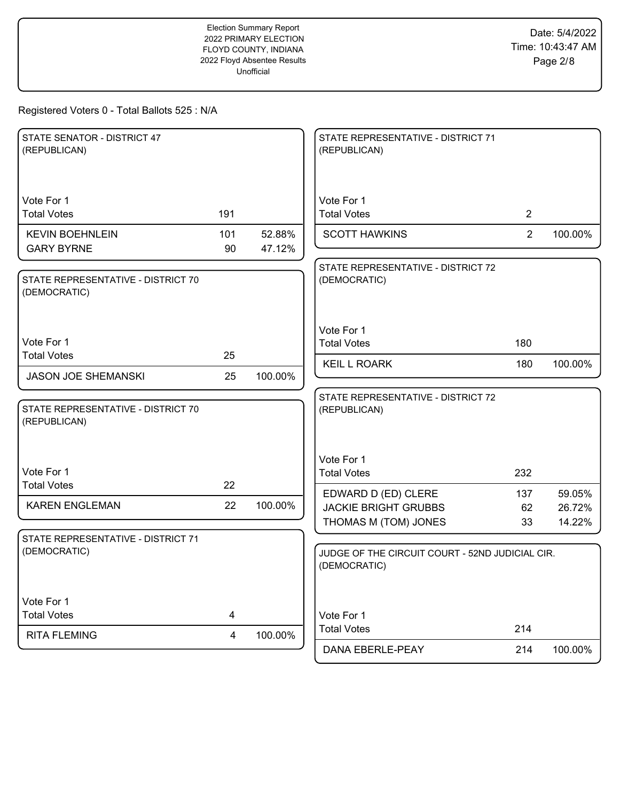| STATE SENATOR - DISTRICT 47<br>(REPUBLICAN)        |           |                  | STATE REPRESENTATIVE - DISTRICT 71<br>(REPUBLICAN)                                      |                |         |
|----------------------------------------------------|-----------|------------------|-----------------------------------------------------------------------------------------|----------------|---------|
| Vote For 1<br><b>Total Votes</b>                   | 191       |                  | Vote For 1<br><b>Total Votes</b>                                                        | $\overline{2}$ |         |
| <b>KEVIN BOEHNLEIN</b><br><b>GARY BYRNE</b>        | 101<br>90 | 52.88%<br>47.12% | <b>SCOTT HAWKINS</b>                                                                    | $\overline{2}$ | 100.00% |
| STATE REPRESENTATIVE - DISTRICT 70<br>(DEMOCRATIC) |           |                  | STATE REPRESENTATIVE - DISTRICT 72<br>(DEMOCRATIC)                                      |                |         |
| Vote For 1                                         |           |                  | Vote For 1<br><b>Total Votes</b>                                                        | 180            |         |
| <b>Total Votes</b>                                 | 25        |                  | <b>KEIL L ROARK</b>                                                                     | 180            | 100.00% |
| <b>JASON JOE SHEMANSKI</b>                         | 25        | 100.00%          |                                                                                         |                |         |
| STATE REPRESENTATIVE - DISTRICT 70<br>(REPUBLICAN) |           |                  | STATE REPRESENTATIVE - DISTRICT 72<br>(REPUBLICAN)                                      |                |         |
| Vote For 1                                         |           |                  | Vote For 1<br><b>Total Votes</b>                                                        | 232            |         |
| <b>Total Votes</b>                                 | 22        |                  | EDWARD D (ED) CLERE                                                                     | 137            | 59.05%  |
| <b>KAREN ENGLEMAN</b>                              | 22        | 100.00%          | <b>JACKIE BRIGHT GRUBBS</b>                                                             | 62             | 26.72%  |
| STATE REPRESENTATIVE - DISTRICT 71<br>(DEMOCRATIC) |           |                  | THOMAS M (TOM) JONES<br>JUDGE OF THE CIRCUIT COURT - 52ND JUDICIAL CIR.<br>(DEMOCRATIC) | 33             | 14.22%  |
| Vote For 1<br><b>Total Votes</b>                   | 4         |                  | Vote For 1                                                                              |                |         |
| <b>RITA FLEMING</b>                                | 4         | 100.00%          | <b>Total Votes</b><br>DANA EBERLE-PEAY                                                  | 214<br>214     | 100.00% |
|                                                    |           |                  |                                                                                         |                |         |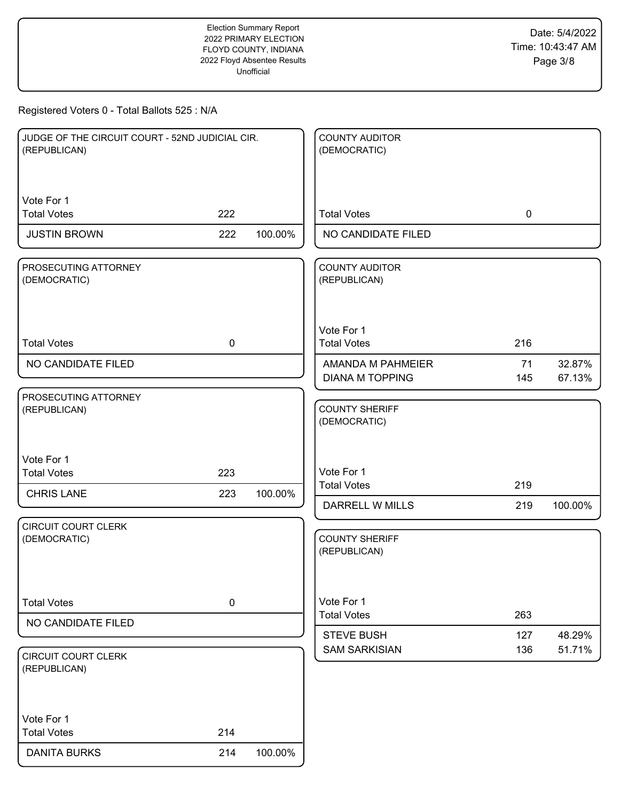| JUDGE OF THE CIRCUIT COURT - 52ND JUDICIAL CIR.<br>(REPUBLICAN) |             |         | <b>COUNTY AUDITOR</b><br>(DEMOCRATIC)     |             |                  |
|-----------------------------------------------------------------|-------------|---------|-------------------------------------------|-------------|------------------|
| Vote For 1                                                      |             |         |                                           |             |                  |
| <b>Total Votes</b>                                              | 222         |         | <b>Total Votes</b>                        | $\mathbf 0$ |                  |
| <b>JUSTIN BROWN</b>                                             | 222         | 100.00% | NO CANDIDATE FILED                        |             |                  |
| PROSECUTING ATTORNEY<br>(DEMOCRATIC)                            |             |         | <b>COUNTY AUDITOR</b><br>(REPUBLICAN)     |             |                  |
| <b>Total Votes</b>                                              | $\mathbf 0$ |         | Vote For 1<br><b>Total Votes</b>          | 216         |                  |
| NO CANDIDATE FILED                                              |             |         | AMANDA M PAHMEIER                         | 71          | 32.87%           |
|                                                                 |             |         | <b>DIANA M TOPPING</b>                    | 145         | 67.13%           |
| PROSECUTING ATTORNEY<br>(REPUBLICAN)                            |             |         | <b>COUNTY SHERIFF</b><br>(DEMOCRATIC)     |             |                  |
| Vote For 1                                                      |             |         |                                           |             |                  |
| <b>Total Votes</b>                                              | 223         |         | Vote For 1<br><b>Total Votes</b>          | 219         |                  |
| <b>CHRIS LANE</b>                                               | 223         | 100.00% | DARRELL W MILLS                           | 219         | 100.00%          |
| CIRCUIT COURT CLERK<br>(DEMOCRATIC)                             |             |         | <b>COUNTY SHERIFF</b><br>(REPUBLICAN)     |             |                  |
| <b>Total Votes</b>                                              | $\pmb{0}$   |         | Vote For 1<br><b>Total Votes</b>          | 263         |                  |
| NO CANDIDATE FILED                                              |             |         |                                           |             |                  |
| <b>CIRCUIT COURT CLERK</b>                                      |             |         | <b>STEVE BUSH</b><br><b>SAM SARKISIAN</b> | 127<br>136  | 48.29%<br>51.71% |
| (REPUBLICAN)<br>Vote For 1<br><b>Total Votes</b>                | 214         |         |                                           |             |                  |
| <b>DANITA BURKS</b>                                             | 214         | 100.00% |                                           |             |                  |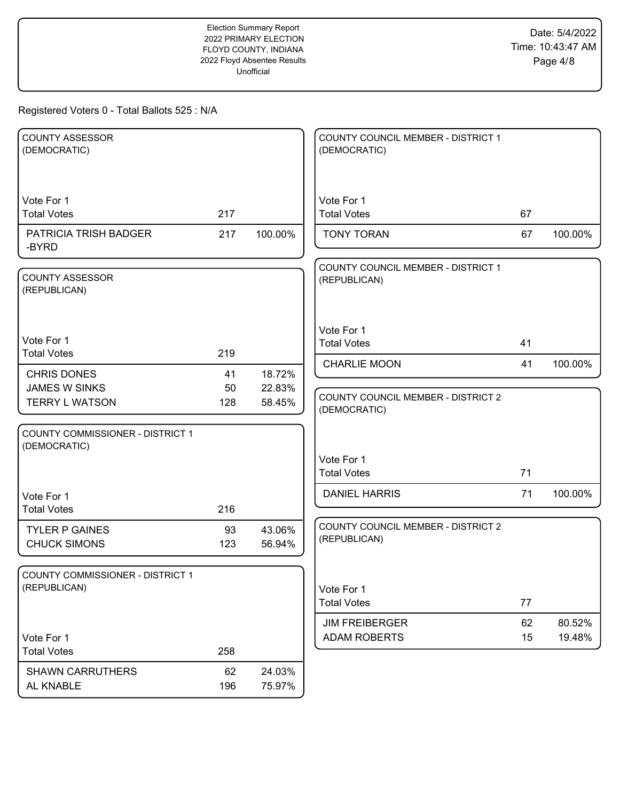| <b>COUNTY ASSESSOR</b><br>(DEMOCRATIC)                  |     |         | COUNTY COUNCIL MEMBER - DISTRICT 1<br>(DEMOCRATIC) |    |         |
|---------------------------------------------------------|-----|---------|----------------------------------------------------|----|---------|
| Vote For 1<br><b>Total Votes</b>                        | 217 |         | Vote For 1<br><b>Total Votes</b>                   | 67 |         |
| PATRICIA TRISH BADGER<br>-BYRD                          | 217 | 100.00% | <b>TONY TORAN</b>                                  | 67 | 100.00% |
| <b>COUNTY ASSESSOR</b><br>(REPUBLICAN)                  |     |         | COUNTY COUNCIL MEMBER - DISTRICT 1<br>(REPUBLICAN) |    |         |
| Vote For 1<br><b>Total Votes</b>                        | 219 |         | Vote For 1<br><b>Total Votes</b>                   | 41 |         |
| <b>CHRIS DONES</b>                                      | 41  | 18.72%  | <b>CHARLIE MOON</b>                                | 41 | 100.00% |
| <b>JAMES W SINKS</b>                                    | 50  | 22.83%  |                                                    |    |         |
| <b>TERRY L WATSON</b>                                   | 128 | 58.45%  | COUNTY COUNCIL MEMBER - DISTRICT 2<br>(DEMOCRATIC) |    |         |
| <b>COUNTY COMMISSIONER - DISTRICT 1</b><br>(DEMOCRATIC) |     |         |                                                    |    |         |
|                                                         |     |         | Vote For 1<br><b>Total Votes</b>                   | 71 |         |
| Vote For 1                                              |     |         | <b>DANIEL HARRIS</b>                               | 71 | 100.00% |
| <b>Total Votes</b>                                      | 216 |         |                                                    |    |         |
| <b>TYLER P GAINES</b>                                   | 93  | 43.06%  | <b>COUNTY COUNCIL MEMBER - DISTRICT 2</b>          |    |         |
| <b>CHUCK SIMONS</b>                                     | 123 | 56.94%  | (REPUBLICAN)                                       |    |         |
| COUNTY COMMISSIONER - DISTRICT 1                        |     |         |                                                    |    |         |
| (REPUBLICAN)                                            |     |         | Vote For 1<br><b>Total Votes</b>                   | 77 |         |
|                                                         |     |         | <b>JIM FREIBERGER</b>                              | 62 | 80.52%  |
| Vote For 1                                              |     |         | <b>ADAM ROBERTS</b>                                | 15 | 19.48%  |
| <b>Total Votes</b>                                      | 258 |         |                                                    |    |         |
| <b>SHAWN CARRUTHERS</b>                                 | 62  | 24.03%  |                                                    |    |         |
| AL KNABLE                                               | 196 | 75.97%  |                                                    |    |         |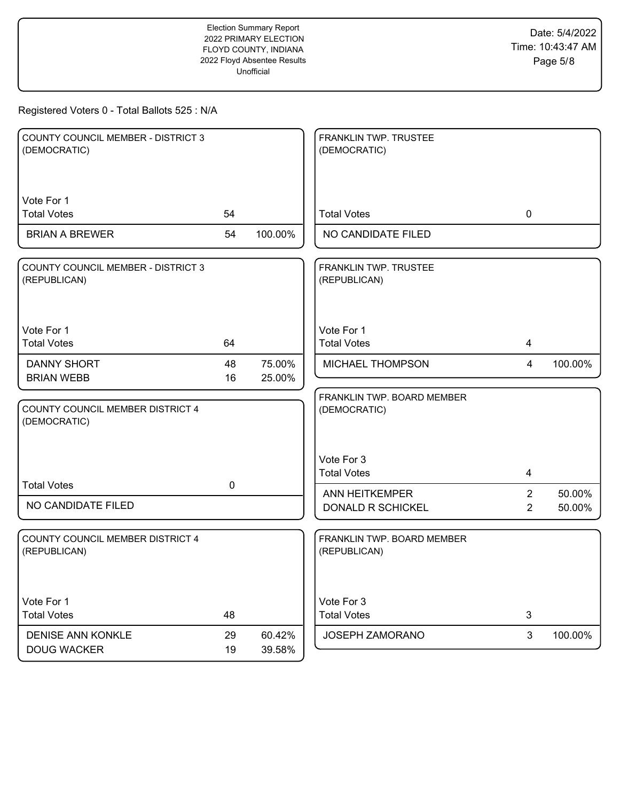| <b>COUNTY COUNCIL MEMBER - DISTRICT 3</b><br>(DEMOCRATIC) |             |                  | FRANKLIN TWP. TRUSTEE<br>(DEMOCRATIC)      |                                  |                  |
|-----------------------------------------------------------|-------------|------------------|--------------------------------------------|----------------------------------|------------------|
| Vote For 1<br><b>Total Votes</b>                          | 54          |                  | <b>Total Votes</b>                         | 0                                |                  |
| <b>BRIAN A BREWER</b>                                     | 54          | 100.00%          | NO CANDIDATE FILED                         |                                  |                  |
| <b>COUNTY COUNCIL MEMBER - DISTRICT 3</b><br>(REPUBLICAN) |             |                  | FRANKLIN TWP. TRUSTEE<br>(REPUBLICAN)      |                                  |                  |
| Vote For 1<br><b>Total Votes</b>                          | 64          |                  | Vote For 1<br><b>Total Votes</b>           | 4                                |                  |
| <b>DANNY SHORT</b><br><b>BRIAN WEBB</b>                   | 48<br>16    | 75.00%<br>25.00% | MICHAEL THOMPSON                           | $\overline{4}$                   | 100.00%          |
| COUNTY COUNCIL MEMBER DISTRICT 4<br>(DEMOCRATIC)          |             |                  | FRANKLIN TWP. BOARD MEMBER<br>(DEMOCRATIC) |                                  |                  |
|                                                           |             |                  | Vote For 3<br><b>Total Votes</b>           | 4                                |                  |
| <b>Total Votes</b><br>NO CANDIDATE FILED                  | $\mathbf 0$ |                  | <b>ANN HEITKEMPER</b><br>DONALD R SCHICKEL | $\overline{2}$<br>$\overline{2}$ | 50.00%<br>50.00% |
| <b>COUNTY COUNCIL MEMBER DISTRICT 4</b><br>(REPUBLICAN)   |             |                  | FRANKLIN TWP. BOARD MEMBER<br>(REPUBLICAN) |                                  |                  |
| Vote For 1<br><b>Total Votes</b>                          | 48          |                  | Vote For 3<br><b>Total Votes</b>           | $\mathsf 3$                      |                  |
| DENISE ANN KONKLE<br><b>DOUG WACKER</b>                   | 29<br>19    | 60.42%<br>39.58% | JOSEPH ZAMORANO                            | 3                                | 100.00%          |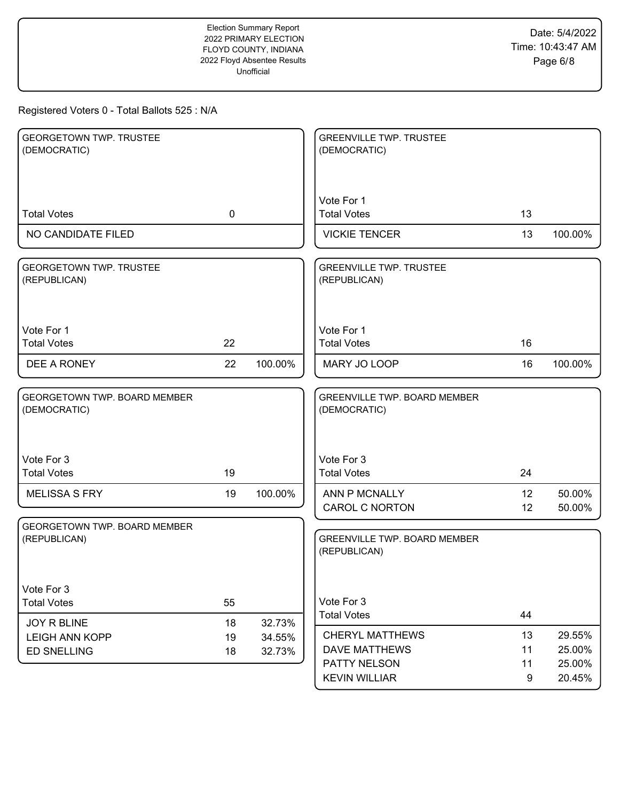| <b>GEORGETOWN TWP. TRUSTEE</b>                 |             |         | <b>GREENVILLE TWP. TRUSTEE</b>                      |          |                  |
|------------------------------------------------|-------------|---------|-----------------------------------------------------|----------|------------------|
| (DEMOCRATIC)                                   |             |         | (DEMOCRATIC)                                        |          |                  |
|                                                |             |         |                                                     |          |                  |
|                                                |             |         | Vote For 1                                          |          |                  |
| <b>Total Votes</b>                             | $\mathbf 0$ |         | <b>Total Votes</b>                                  | 13       |                  |
| NO CANDIDATE FILED                             |             |         | <b>VICKIE TENCER</b>                                | 13       | 100.00%          |
| <b>GEORGETOWN TWP. TRUSTEE</b><br>(REPUBLICAN) |             |         | <b>GREENVILLE TWP. TRUSTEE</b><br>(REPUBLICAN)      |          |                  |
| Vote For 1                                     |             |         | Vote For 1                                          |          |                  |
| <b>Total Votes</b>                             | 22          |         | <b>Total Votes</b>                                  | 16       |                  |
| DEE A RONEY                                    | 22          | 100.00% | MARY JO LOOP                                        | 16       | 100.00%          |
| GEORGETOWN TWP. BOARD MEMBER                   |             |         | <b>GREENVILLE TWP. BOARD MEMBER</b>                 |          |                  |
| (DEMOCRATIC)                                   |             |         | (DEMOCRATIC)                                        |          |                  |
|                                                |             |         |                                                     |          |                  |
| Vote For 3<br><b>Total Votes</b>               | 19          |         | Vote For 3<br><b>Total Votes</b>                    | 24       |                  |
|                                                |             |         |                                                     |          |                  |
| <b>MELISSA S FRY</b>                           | 19          | 100.00% | ANN P MCNALLY<br><b>CAROL C NORTON</b>              | 12<br>12 | 50.00%<br>50.00% |
| GEORGETOWN TWP. BOARD MEMBER                   |             |         |                                                     |          |                  |
| (REPUBLICAN)                                   |             |         | <b>GREENVILLE TWP. BOARD MEMBER</b><br>(REPUBLICAN) |          |                  |
|                                                |             |         |                                                     |          |                  |
| Vote For 3                                     |             |         |                                                     |          |                  |
| <b>Total Votes</b>                             | 55          |         | Vote For 3                                          |          |                  |
| JOY R BLINE                                    | 18          | 32.73%  | <b>Total Votes</b>                                  | 44       |                  |
| <b>LEIGH ANN KOPP</b>                          | 19          | 34.55%  | <b>CHERYL MATTHEWS</b>                              | 13       | 29.55%           |
| <b>ED SNELLING</b>                             | 18          | 32.73%  | <b>DAVE MATTHEWS</b><br>PATTY NELSON                | 11<br>11 | 25.00%           |
|                                                |             |         | <b>KEVIN WILLIAR</b>                                | 9        | 25.00%<br>20.45% |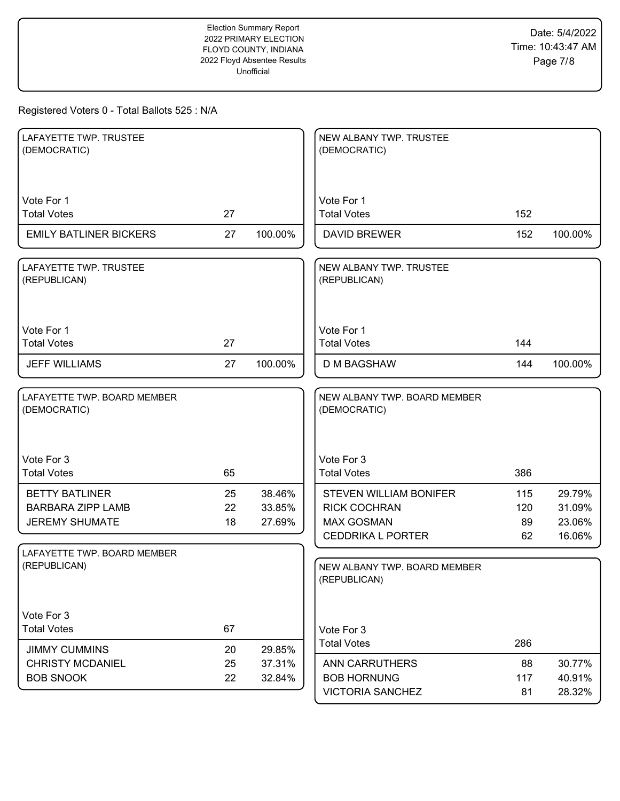| LAFAYETTE TWP. TRUSTEE<br>(DEMOCRATIC)                                     |                |                            | NEW ALBANY TWP. TRUSTEE<br>(DEMOCRATIC)                                                               |                        |                                      |
|----------------------------------------------------------------------------|----------------|----------------------------|-------------------------------------------------------------------------------------------------------|------------------------|--------------------------------------|
| Vote For 1<br><b>Total Votes</b>                                           | 27             |                            | Vote For 1<br><b>Total Votes</b>                                                                      | 152                    |                                      |
| <b>EMILY BATLINER BICKERS</b>                                              | 27             | 100.00%                    | <b>DAVID BREWER</b>                                                                                   | 152                    | 100.00%                              |
| LAFAYETTE TWP. TRUSTEE<br>(REPUBLICAN)                                     |                |                            | NEW ALBANY TWP. TRUSTEE<br>(REPUBLICAN)                                                               |                        |                                      |
| Vote For 1<br><b>Total Votes</b>                                           | 27             |                            | Vote For 1<br><b>Total Votes</b>                                                                      | 144                    |                                      |
| <b>JEFF WILLIAMS</b>                                                       | 27             | 100.00%                    | <b>D M BAGSHAW</b>                                                                                    | 144                    | 100.00%                              |
| LAFAYETTE TWP. BOARD MEMBER<br>(DEMOCRATIC)                                |                |                            | NEW ALBANY TWP. BOARD MEMBER<br>(DEMOCRATIC)                                                          |                        |                                      |
| Vote For 3<br><b>Total Votes</b>                                           | 65             |                            | Vote For 3<br><b>Total Votes</b>                                                                      | 386                    |                                      |
| <b>BETTY BATLINER</b><br><b>BARBARA ZIPP LAMB</b><br><b>JEREMY SHUMATE</b> | 25<br>22<br>18 | 38.46%<br>33.85%<br>27.69% | <b>STEVEN WILLIAM BONIFER</b><br><b>RICK COCHRAN</b><br><b>MAX GOSMAN</b><br><b>CEDDRIKA L PORTER</b> | 115<br>120<br>89<br>62 | 29.79%<br>31.09%<br>23.06%<br>16.06% |
| LAFAYETTE TWP. BOARD MEMBER<br>(REPUBLICAN)                                |                |                            | NEW ALBANY TWP. BOARD MEMBER<br>(REPUBLICAN)                                                          |                        |                                      |
| Vote For 3<br><b>Total Votes</b><br><b>JIMMY CUMMINS</b>                   | 67<br>20       | 29.85%                     | Vote For 3<br><b>Total Votes</b>                                                                      | 286                    |                                      |
| <b>CHRISTY MCDANIEL</b><br><b>BOB SNOOK</b>                                | 25<br>22       | 37.31%<br>32.84%           | <b>ANN CARRUTHERS</b><br><b>BOB HORNUNG</b><br><b>VICTORIA SANCHEZ</b>                                | 88<br>117<br>81        | 30.77%<br>40.91%<br>28.32%           |